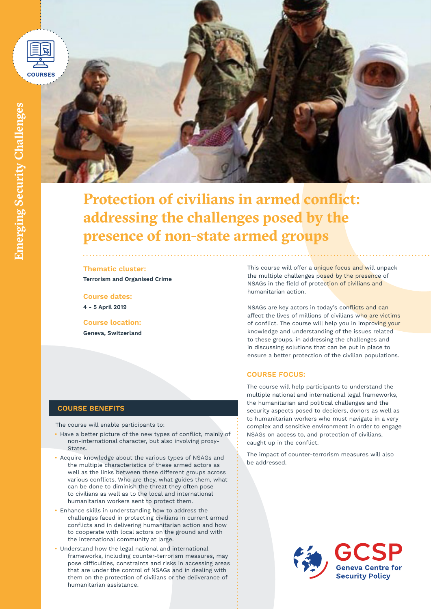



# **Protection of civilians in armed conflict: addressing the challenges posed by the presence of non-state armed groups**

### **Thematic cluster:**

**Terrorism and Organised Crime**

**Course dates: 4 - 5 April 2019**

**Course location: Geneva, Switzerland** This course will offer a unique focus and will unpack the multiple challenges posed by the presence of NSAGs in the field of protection of civilians and humanitarian action.

NSAGs are key actors in today's conflicts and can affect the lives of millions of civilians who are victims of conflict. The course will help you in improving your knowledge and understanding of the issues related to these groups, in addressing the challenges and in discussing solutions that can be put in place to ensure a better protection of the civilian populations.

## **COURSE FOCUS:**

The course will help participants to understand the multiple national and international legal frameworks, the humanitarian and political challenges and the security aspects posed to deciders, donors as well as to humanitarian workers who must navigate in a very complex and sensitive environment in order to engage NSAGs on access to, and protection of civilians, caught up in the conflict.

The impact of counter-terrorism measures will also be addressed.



## **COURSE BENEFITS**

The course will enable participants to:

- **•** Have a better picture of the new types of conflict, mainly of non-international character, but also involving proxy-States.
- **•** Acquire knowledge about the various types of NSAGs and the multiple characteristics of these armed actors as well as the links between these different groups across various conflicts. Who are they, what guides them, what can be done to diminish the threat they often pose to civilians as well as to the local and international humanitarian workers sent to protect them.
- **•** Enhance skills in understanding how to address the challenges faced in protecting civilians in current armed conflicts and in delivering humanitarian action and how to cooperate with local actors on the ground and with the international community at large.
- **•** Understand how the legal national and international frameworks, including counter-terrorism measures, may pose difficulties, constraints and risks in accessing areas that are under the control of NSAGs and in dealing with them on the protection of civilians or the deliverance of humanitarian assistance.